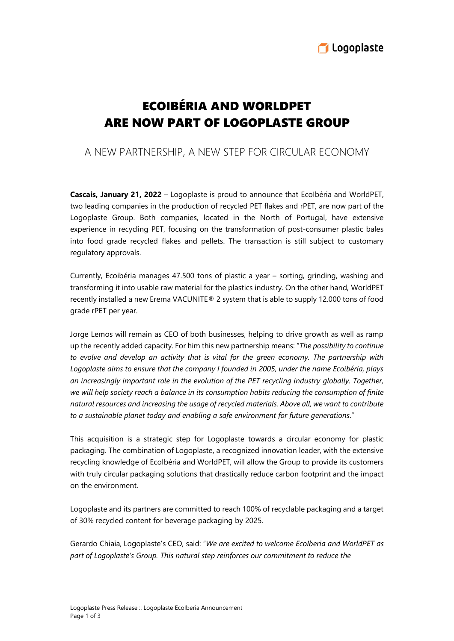

## ECOIBÉRIA AND WORLDPET ARE NOW PART OF LOGOPLASTE GROUP

## A NEW PARTNERSHIP, A NEW STEP FOR CIRCULAR ECONOMY

**Cascais, January 21, 2022** – Logoplaste is proud to announce that EcoIbéria and WorldPET, two leading companies in the production of recycled PET flakes and rPET, are now part of the Logoplaste Group. Both companies, located in the North of Portugal, have extensive experience in recycling PET, focusing on the transformation of post-consumer plastic bales into food grade recycled flakes and pellets. The transaction is still subject to customary regulatory approvals.

Currently, Ecoibéria manages 47.500 tons of plastic a year – sorting, grinding, washing and transforming it into usable raw material for the plastics industry. On the other hand, WorldPET recently installed a new Erema VACUNITE® 2 system that is able to supply 12.000 tons of food grade rPET per year.

Jorge Lemos will remain as CEO of both businesses, helping to drive growth as well as ramp up the recently added capacity. For him this new partnership means: "*The possibility to continue to evolve and develop an activity that is vital for the green economy. The partnership with Logoplaste aims to ensure that the company I founded in 2005, under the name Ecoibéria, plays an increasingly important role in the evolution of the PET recycling industry globally. Together, we will help society reach a balance in its consumption habits reducing the consumption of finite natural resources and increasing the usage of recycled materials. Above all, we want to contribute to a sustainable planet today and enabling a safe environment for future generations*."

This acquisition is a strategic step for Logoplaste towards a circular economy for plastic packaging. The combination of Logoplaste, a recognized innovation leader, with the extensive recycling knowledge of EcoIbéria and WorldPET, will allow the Group to provide its customers with truly circular packaging solutions that drastically reduce carbon footprint and the impact on the environment.

Logoplaste and its partners are committed to reach 100% of recyclable packaging and a target of 30% recycled content for beverage packaging by 2025.

Gerardo Chiaia, Logoplaste's CEO, said: "*We are excited to welcome EcoIberia and WorldPET as part of Logoplaste's Group. This natural step reinforces our commitment to reduce the*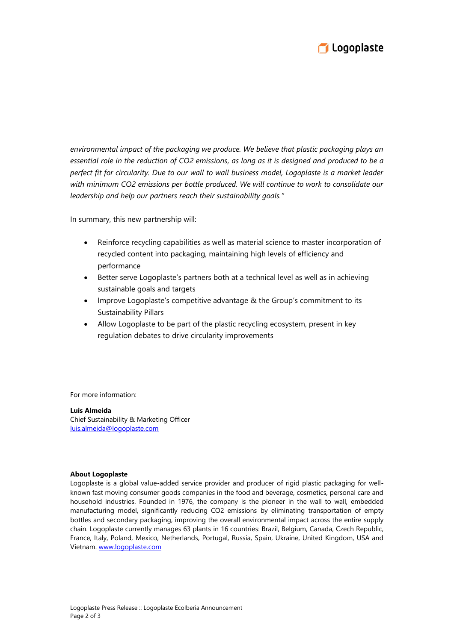

*environmental impact of the packaging we produce. We believe that plastic packaging plays an essential role in the reduction of CO2 emissions, as long as it is designed and produced to be a perfect fit for circularity. Due to our wall to wall business model, Logoplaste is a market leader with minimum CO2 emissions per bottle produced. We will continue to work to consolidate our leadership and help our partners reach their sustainability goals."* 

In summary, this new partnership will:

- Reinforce recycling capabilities as well as material science to master incorporation of recycled content into packaging, maintaining high levels of efficiency and performance
- Better serve Logoplaste's partners both at a technical level as well as in achieving sustainable goals and targets
- Improve Logoplaste's competitive advantage & the Group's commitment to its Sustainability Pillars
- Allow Logoplaste to be part of the plastic recycling ecosystem, present in key regulation debates to drive circularity improvements

For more information:

**Luis Almeida** Chief Sustainability & Marketing Officer [luis.almeida@logoplaste.com](mailto:luis.almeida@logoplaste.com)

## **About Logoplaste**

Logoplaste is a global value-added service provider and producer of rigid plastic packaging for wellknown fast moving consumer goods companies in the food and beverage, cosmetics, personal care and household industries. Founded in 1976, the company is the pioneer in the wall to wall, embedded manufacturing model, significantly reducing CO2 emissions by eliminating transportation of empty bottles and secondary packaging, improving the overall environmental impact across the entire supply chain. Logoplaste currently manages 63 plants in 16 countries: Brazil, Belgium, Canada, Czech Republic, France, Italy, Poland, Mexico, Netherlands, Portugal, Russia, Spain, Ukraine, United Kingdom, USA and Vietnam. [www.logoplaste.com](http://www.logoplaste.com/)